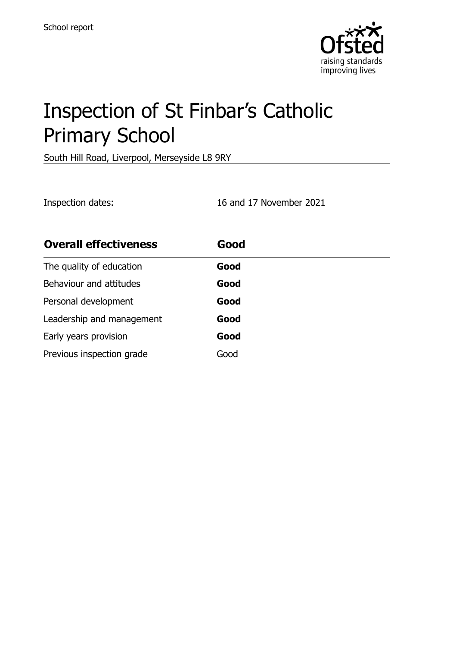

# Inspection of St Finbar's Catholic Primary School

South Hill Road, Liverpool, Merseyside L8 9RY

Inspection dates: 16 and 17 November 2021

| <b>Overall effectiveness</b> | Good |
|------------------------------|------|
| The quality of education     | Good |
| Behaviour and attitudes      | Good |
| Personal development         | Good |
| Leadership and management    | Good |
| Early years provision        | Good |
| Previous inspection grade    | Good |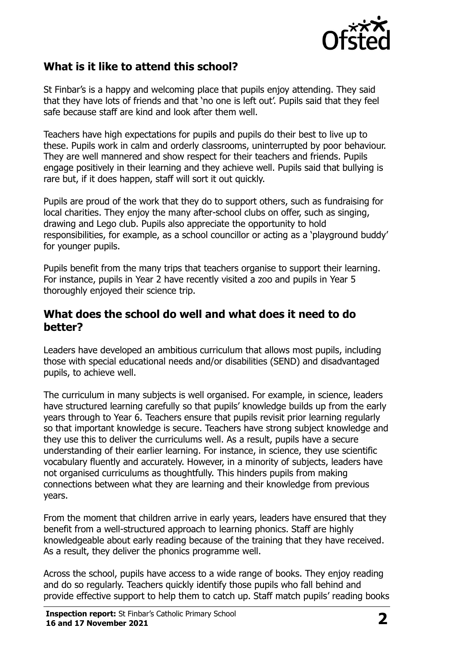

### **What is it like to attend this school?**

St Finbar's is a happy and welcoming place that pupils enjoy attending. They said that they have lots of friends and that 'no one is left out'. Pupils said that they feel safe because staff are kind and look after them well.

Teachers have high expectations for pupils and pupils do their best to live up to these. Pupils work in calm and orderly classrooms, uninterrupted by poor behaviour. They are well mannered and show respect for their teachers and friends. Pupils engage positively in their learning and they achieve well. Pupils said that bullying is rare but, if it does happen, staff will sort it out quickly.

Pupils are proud of the work that they do to support others, such as fundraising for local charities. They enjoy the many after-school clubs on offer, such as singing, drawing and Lego club. Pupils also appreciate the opportunity to hold responsibilities, for example, as a school councillor or acting as a 'playground buddy' for younger pupils.

Pupils benefit from the many trips that teachers organise to support their learning. For instance, pupils in Year 2 have recently visited a zoo and pupils in Year 5 thoroughly enjoyed their science trip.

#### **What does the school do well and what does it need to do better?**

Leaders have developed an ambitious curriculum that allows most pupils, including those with special educational needs and/or disabilities (SEND) and disadvantaged pupils, to achieve well.

The curriculum in many subjects is well organised. For example, in science, leaders have structured learning carefully so that pupils' knowledge builds up from the early years through to Year 6. Teachers ensure that pupils revisit prior learning regularly so that important knowledge is secure. Teachers have strong subject knowledge and they use this to deliver the curriculums well. As a result, pupils have a secure understanding of their earlier learning. For instance, in science, they use scientific vocabulary fluently and accurately. However, in a minority of subjects, leaders have not organised curriculums as thoughtfully. This hinders pupils from making connections between what they are learning and their knowledge from previous years.

From the moment that children arrive in early years, leaders have ensured that they benefit from a well-structured approach to learning phonics. Staff are highly knowledgeable about early reading because of the training that they have received. As a result, they deliver the phonics programme well.

Across the school, pupils have access to a wide range of books. They enjoy reading and do so regularly. Teachers quickly identify those pupils who fall behind and provide effective support to help them to catch up. Staff match pupils' reading books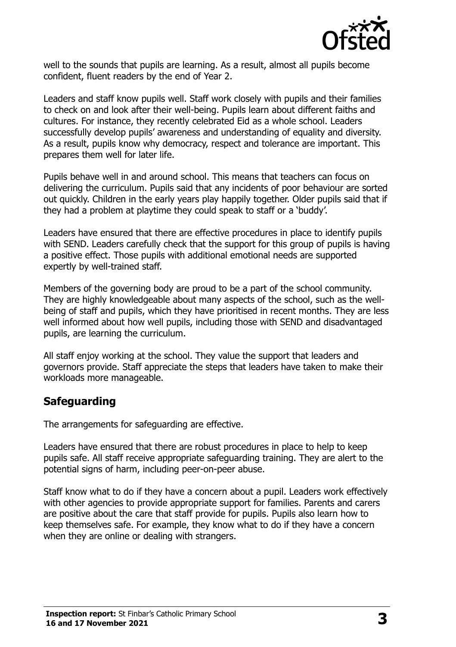

well to the sounds that pupils are learning. As a result, almost all pupils become confident, fluent readers by the end of Year 2.

Leaders and staff know pupils well. Staff work closely with pupils and their families to check on and look after their well-being. Pupils learn about different faiths and cultures. For instance, they recently celebrated Eid as a whole school. Leaders successfully develop pupils' awareness and understanding of equality and diversity. As a result, pupils know why democracy, respect and tolerance are important. This prepares them well for later life.

Pupils behave well in and around school. This means that teachers can focus on delivering the curriculum. Pupils said that any incidents of poor behaviour are sorted out quickly. Children in the early years play happily together. Older pupils said that if they had a problem at playtime they could speak to staff or a 'buddy'.

Leaders have ensured that there are effective procedures in place to identify pupils with SEND. Leaders carefully check that the support for this group of pupils is having a positive effect. Those pupils with additional emotional needs are supported expertly by well-trained staff.

Members of the governing body are proud to be a part of the school community. They are highly knowledgeable about many aspects of the school, such as the wellbeing of staff and pupils, which they have prioritised in recent months. They are less well informed about how well pupils, including those with SEND and disadvantaged pupils, are learning the curriculum.

All staff enjoy working at the school. They value the support that leaders and governors provide. Staff appreciate the steps that leaders have taken to make their workloads more manageable.

#### **Safeguarding**

The arrangements for safeguarding are effective.

Leaders have ensured that there are robust procedures in place to help to keep pupils safe. All staff receive appropriate safeguarding training. They are alert to the potential signs of harm, including peer-on-peer abuse.

Staff know what to do if they have a concern about a pupil. Leaders work effectively with other agencies to provide appropriate support for families. Parents and carers are positive about the care that staff provide for pupils. Pupils also learn how to keep themselves safe. For example, they know what to do if they have a concern when they are online or dealing with strangers.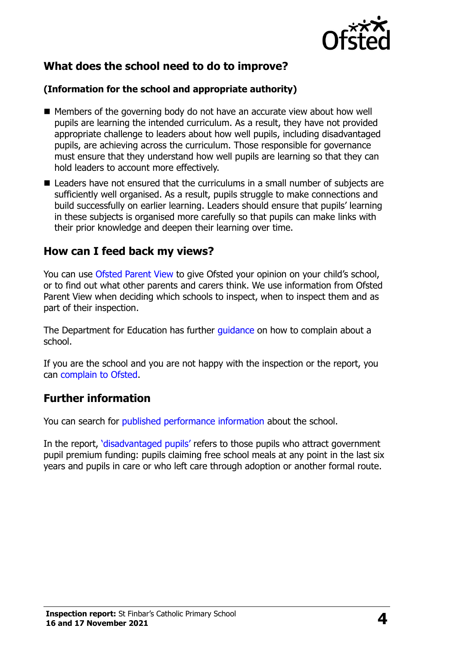

# **What does the school need to do to improve?**

#### **(Information for the school and appropriate authority)**

- Members of the governing body do not have an accurate view about how well pupils are learning the intended curriculum. As a result, they have not provided appropriate challenge to leaders about how well pupils, including disadvantaged pupils, are achieving across the curriculum. Those responsible for governance must ensure that they understand how well pupils are learning so that they can hold leaders to account more effectively.
- Leaders have not ensured that the curriculums in a small number of subjects are sufficiently well organised. As a result, pupils struggle to make connections and build successfully on earlier learning. Leaders should ensure that pupils' learning in these subjects is organised more carefully so that pupils can make links with their prior knowledge and deepen their learning over time.

#### **How can I feed back my views?**

You can use [Ofsted Parent View](http://parentview.ofsted.gov.uk/) to give Ofsted your opinion on your child's school, or to find out what other parents and carers think. We use information from Ofsted Parent View when deciding which schools to inspect, when to inspect them and as part of their inspection.

The Department for Education has further quidance on how to complain about a school.

If you are the school and you are not happy with the inspection or the report, you can [complain to Ofsted.](http://www.gov.uk/complain-ofsted-report)

#### **Further information**

You can search for [published performance information](http://www.compare-school-performance.service.gov.uk/) about the school.

In the report, '[disadvantaged pupils](http://www.gov.uk/guidance/pupil-premium-information-for-schools-and-alternative-provision-settings)' refers to those pupils who attract government pupil premium funding: pupils claiming free school meals at any point in the last six years and pupils in care or who left care through adoption or another formal route.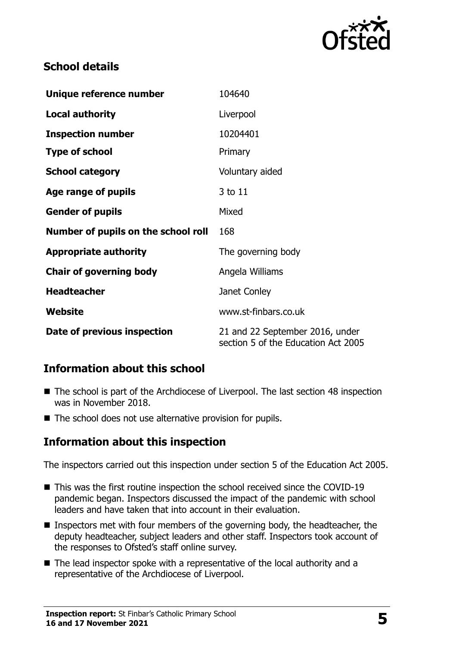

# **School details**

| Unique reference number             | 104640                                                                 |
|-------------------------------------|------------------------------------------------------------------------|
| <b>Local authority</b>              | Liverpool                                                              |
| <b>Inspection number</b>            | 10204401                                                               |
| <b>Type of school</b>               | Primary                                                                |
| <b>School category</b>              | Voluntary aided                                                        |
| Age range of pupils                 | 3 to 11                                                                |
| <b>Gender of pupils</b>             | Mixed                                                                  |
| Number of pupils on the school roll | 168                                                                    |
| <b>Appropriate authority</b>        | The governing body                                                     |
| <b>Chair of governing body</b>      | Angela Williams                                                        |
| <b>Headteacher</b>                  | Janet Conley                                                           |
| Website                             | www.st-finbars.co.uk                                                   |
| Date of previous inspection         | 21 and 22 September 2016, under<br>section 5 of the Education Act 2005 |

# **Information about this school**

- The school is part of the Archdiocese of Liverpool. The last section 48 inspection was in November 2018.
- The school does not use alternative provision for pupils.

# **Information about this inspection**

The inspectors carried out this inspection under section 5 of the Education Act 2005.

- This was the first routine inspection the school received since the COVID-19 pandemic began. Inspectors discussed the impact of the pandemic with school leaders and have taken that into account in their evaluation.
- Inspectors met with four members of the governing body, the headteacher, the deputy headteacher, subject leaders and other staff. Inspectors took account of the responses to Ofsted's staff online survey.
- The lead inspector spoke with a representative of the local authority and a representative of the Archdiocese of Liverpool.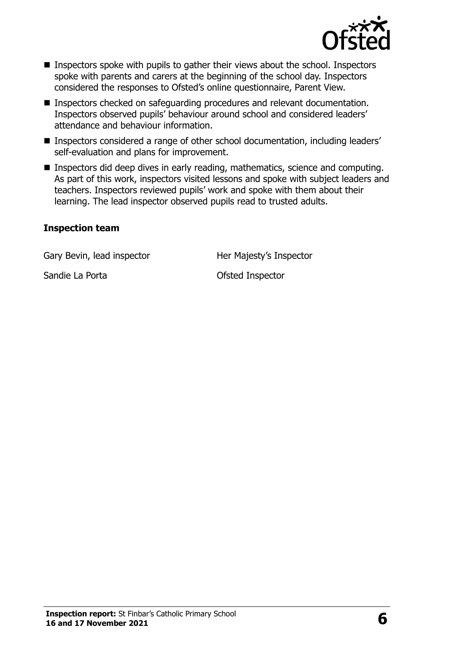

- Inspectors spoke with pupils to gather their views about the school. Inspectors spoke with parents and carers at the beginning of the school day. Inspectors considered the responses to Ofsted's online questionnaire, Parent View.
- Inspectors checked on safeguarding procedures and relevant documentation. Inspectors observed pupils' behaviour around school and considered leaders' attendance and behaviour information.
- Inspectors considered a range of other school documentation, including leaders' self-evaluation and plans for improvement.
- **Inspectors did deep dives in early reading, mathematics, science and computing.** As part of this work, inspectors visited lessons and spoke with subject leaders and teachers. Inspectors reviewed pupils' work and spoke with them about their learning. The lead inspector observed pupils read to trusted adults.

#### **Inspection team**

Gary Bevin, lead inspector **Her Majesty's Inspector** 

Sandie La Porta **Calculation** Constantine Constantine Constantine Constantine Constantine Constantine Constantine Constantine Constantine Constantine Constantine Constantine Constantine Constantine Constantine Constantine